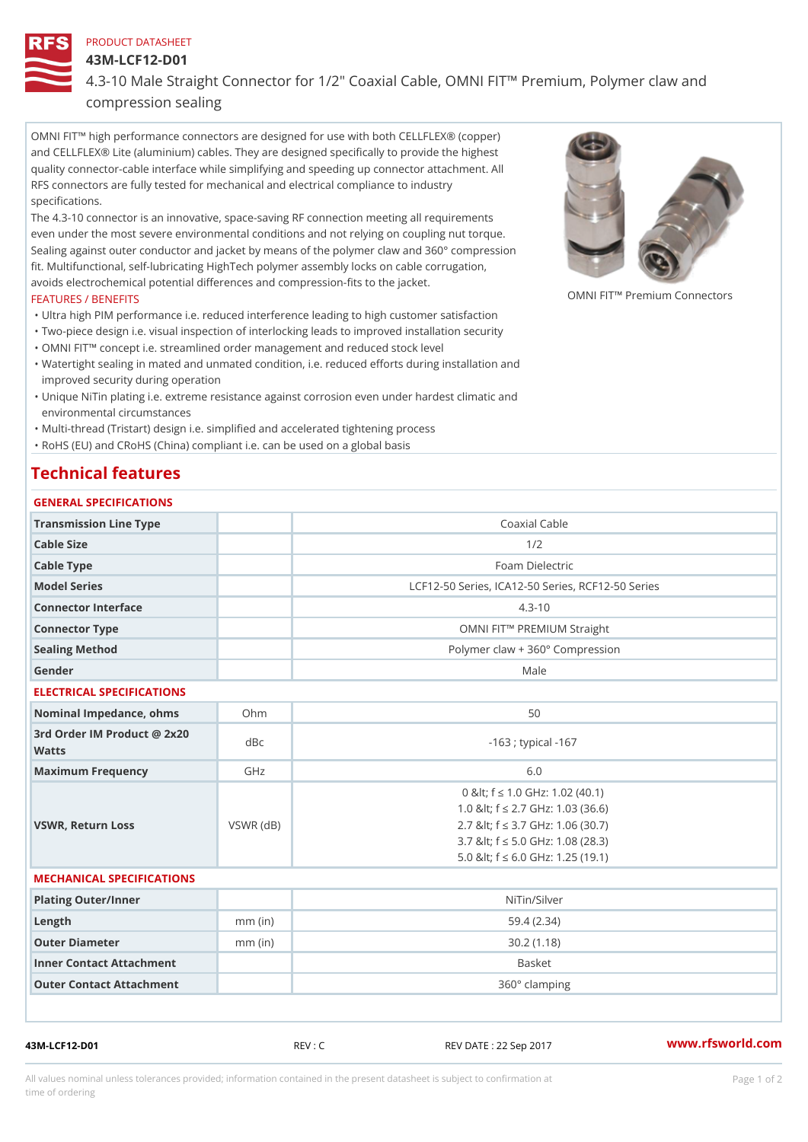#### PRODUCT DATASHEET

43M-LCF12-D01

## 4.3-10 Male Straight Connector for 1/2" Coaxial Cable, OMNI FIT!" Pren compression sealing

OMNI FIT!" high performance connectors are designed for use with both CELLFLEX® (copper) and CELLFLEX® Lite (aluminium) cables. They are designed specifically to provide the highest quality connector-cable interface while simplifying and speeding up connector attachment. All RFS connectors are fully tested for mechanical and electrical compliance to industry specifications.

The 4.3-10 connector is an innovative, space-saving RF connection meeting all requirements even under the most severe environmental conditions and not relying on coupling nut torque. Sealing against outer conductor and jacket by means of the polymer claw and 360° compression fit. Multifunctional, self-lubricating HighTech polymer assembly locks on cable corrugation, avoids electrochemical potential differences and compression-fits to the jacket. OMNI FIT!" Premium Connectors

### FEATURES / BENEFITS

"Ultra high PIM performance i.e. reduced interference leading to high customer satisfaction

- "Two-piece design i.e. visual inspection of interlocking leads to improved installation security
- "OMNI FIT!" concept i.e. streamlined order management and reduced stock level
- Watertight sealing in mated and unmated condition, i.e. reduced efforts during installation and " improved security during operation
- Unique NiTin plating i.e. extreme resistance against corrosion even under hardest climatic and " environmental circumstances

"Multi-thread (Tristart) design i.e. simplified and accelerated tightening process

"RoHS (EU) and CRoHS (China) compliant i.e. can be used on a global basis

# Technical features

# GENERAL SPECIFICATIONS Transmission Line Type **Coaxial Cable** Coaxial Cable Cable Size 2012 Cable Type Foam Dielectric Model Series LCF12-50 Series, ICA12-50 Series, RCF12-50 Series Connector Interface 4.3-10 Connector Type OMNI FIT!" PREMIUM Straight Sealing Method Polymer claw + 360° Compression Gender Male ELECTRICAL SPECIFICATIONS Nominal Impedance, ohins Ohm  $50$ 3rd Order IM Product @ 2x20<br>dBc Watts  $-163$  ; typical  $-167$ Maximum Frequency GHz GHz 6.0 VSWR, Return Loss VSWR (dB) 0 & It; f "d 1.0 G H z: 1.02 (40.1) 1.0 < f "d 2.7 GHz: 1.03 (36.6) 2.7 < f "d 3.7 GHz: 1.06 (30.7) 3.7 < f "d 5.0 GHz: 1.08 (28.3) 5.0 < f "d 6.0 GHz: 1.25 (19.1) MECHANICAL SPECIFICATIONS

| Plating Outer/Inner      |           | NiTin/Silver  |
|--------------------------|-----------|---------------|
| Length                   | $mm$ (in) | 59.4 (2.34)   |
| Outer Diameter           | $mm$ (in) | 30.2 (1.18)   |
| Inner Contact Attachment |           | Basket        |
| Outer Contact Attachment |           | 360° clamping |

43M-LCF12-D01 REV : C REV DATE : 22 Sep 2017 [www.](https://www.rfsworld.com)rfsworld.com